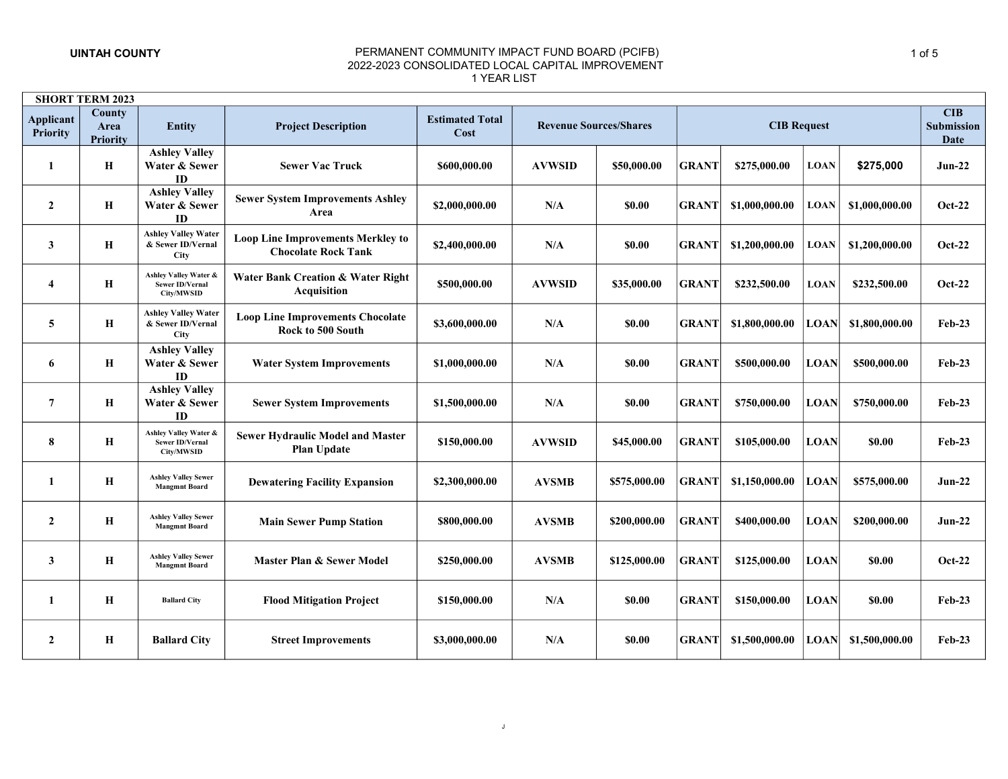|                                     | <b>SHORT TERM 2023</b>            |                                                                |                                                                        |                                |                               |               |              |                    |             |                |                                                |
|-------------------------------------|-----------------------------------|----------------------------------------------------------------|------------------------------------------------------------------------|--------------------------------|-------------------------------|---------------|--------------|--------------------|-------------|----------------|------------------------------------------------|
| <b>Applicant</b><br><b>Priority</b> | County<br>Area<br><b>Priority</b> | <b>Entity</b>                                                  | <b>Project Description</b>                                             | <b>Estimated Total</b><br>Cost | <b>Revenue Sources/Shares</b> |               |              | <b>CIB Request</b> |             |                | <b>CIB</b><br><b>Submission</b><br><b>Date</b> |
| 1                                   | Н                                 | <b>Ashley Valley</b><br>Water & Sewer<br>ID                    | <b>Sewer Vac Truck</b>                                                 | \$600,000.00                   | <b>AVWSID</b>                 | \$50,000.00   | <b>GRANT</b> | \$275,000.00       | <b>LOAN</b> | \$275,000      | $Jun-22$                                       |
| $\overline{2}$                      | Н                                 | <b>Ashley Valley</b><br>Water & Sewer<br>ID                    | <b>Sewer System Improvements Ashley</b><br>Area                        | \$2,000,000.00                 | N/A                           | \$0.00        | <b>GRANT</b> | \$1,000,000.00     | <b>LOAN</b> | \$1,000,000.00 | Oct-22                                         |
| $\mathbf{3}$                        | Н                                 | <b>Ashley Valley Water</b><br>& Sewer ID/Vernal<br><b>City</b> | <b>Loop Line Improvements Merkley to</b><br><b>Chocolate Rock Tank</b> | \$2,400,000.00                 | N/A                           | \$0.00        | <b>GRANT</b> | \$1,200,000.00     | <b>LOAN</b> | \$1,200,000.00 | <b>Oct-22</b>                                  |
| $\overline{\mathbf{4}}$             | Н                                 | Ashley Valley Water &<br>Sewer ID/Vernal<br>City/MWSID         | <b>Water Bank Creation &amp; Water Right</b><br><b>Acquisition</b>     | \$500,000.00                   | <b>AVWSID</b>                 | \$35,000.00   | <b>GRANT</b> | \$232,500.00       | <b>LOAN</b> | \$232,500.00   | Oct-22                                         |
| 5                                   | H                                 | <b>Ashley Valley Water</b><br>& Sewer ID/Vernal<br><b>City</b> | <b>Loop Line Improvements Chocolate</b><br>Rock to 500 South           | \$3,600,000.00                 | N/A                           | <b>\$0.00</b> | <b>GRANT</b> | \$1,800,000.00     | <b>LOAN</b> | \$1,800,000.00 | <b>Feb-23</b>                                  |
| 6                                   | Н                                 | <b>Ashley Valley</b><br>Water & Sewer<br>ID                    | <b>Water System Improvements</b>                                       | \$1,000,000.00                 | N/A                           | \$0.00        | <b>GRANT</b> | \$500,000.00       | <b>LOAN</b> | \$500,000.00   | $Feb-23$                                       |
| $\overline{7}$                      | Н                                 | <b>Ashley Valley</b><br>Water & Sewer<br>ID                    | <b>Sewer System Improvements</b>                                       | \$1,500,000.00                 | N/A                           | \$0.00        | <b>GRANT</b> | \$750,000.00       | <b>LOAN</b> | \$750,000.00   | $Feb-23$                                       |
| 8                                   | Н                                 | Ashley Valley Water &<br>Sewer ID/Vernal<br>City/MWSID         | <b>Sewer Hydraulic Model and Master</b><br><b>Plan Update</b>          | \$150,000.00                   | <b>AVWSID</b>                 | \$45,000.00   | <b>GRANT</b> | \$105,000.00       | <b>LOAN</b> | \$0.00         | <b>Feb-23</b>                                  |
| 1                                   | $\mathbf H$                       | <b>Ashley Valley Sewer</b><br><b>Mangmnt Board</b>             | <b>Dewatering Facility Expansion</b>                                   | \$2,300,000.00                 | <b>AVSMB</b>                  | \$575,000.00  | <b>GRANT</b> | \$1,150,000.00     | <b>LOAN</b> | \$575,000.00   | <b>Jun-22</b>                                  |
| $\mathbf{2}$                        | H                                 | <b>Ashley Valley Sewer</b><br><b>Mangmnt Board</b>             | <b>Main Sewer Pump Station</b>                                         | \$800,000.00                   | <b>AVSMB</b>                  | \$200,000.00  | <b>GRANT</b> | \$400,000.00       | <b>LOAN</b> | \$200,000.00   | $Jun-22$                                       |
| 3                                   | Н                                 | <b>Ashley Valley Sewer</b><br><b>Mangmnt Board</b>             | Master Plan & Sewer Model                                              | \$250,000.00                   | <b>AVSMB</b>                  | \$125,000.00  | <b>GRANT</b> | \$125,000.00       | <b>LOAN</b> | \$0.00         | <b>Oct-22</b>                                  |
| 1                                   | Н                                 | <b>Ballard City</b>                                            | <b>Flood Mitigation Project</b>                                        | \$150,000.00                   | N/A                           | \$0.00        | <b>GRANT</b> | \$150,000.00       | <b>LOAN</b> | \$0.00         | $Feb-23$                                       |
| $\mathbf{2}$                        | Н                                 | <b>Ballard City</b>                                            | <b>Street Improvements</b>                                             | \$3,000,000.00                 | N/A                           | <b>\$0.00</b> | <b>GRANT</b> | \$1,500,000.00     | <b>LOAN</b> | \$1,500,000.00 | $Feb-23$                                       |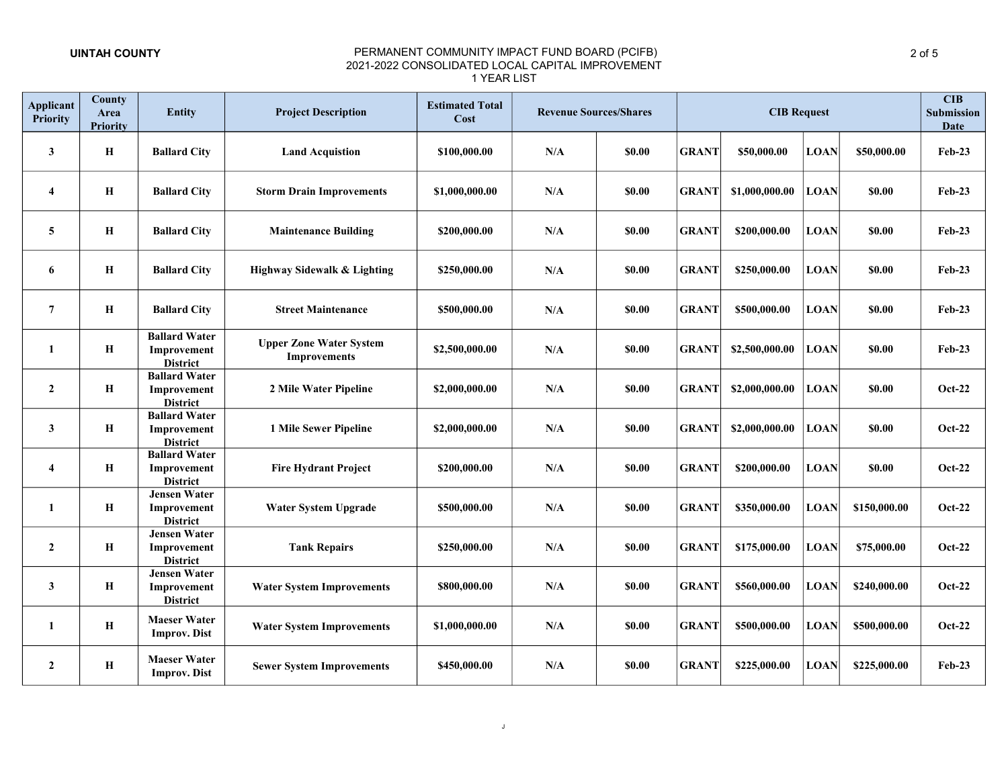| <b>Applicant</b><br><b>Priority</b> | <b>County</b><br>Area<br><b>Priority</b> | <b>Entity</b>                                          | <b>Project Description</b>                            | <b>Estimated Total</b><br>Cost | <b>Revenue Sources/Shares</b> |               |              | CIB<br>Submission<br><b>Date</b> |             |               |               |
|-------------------------------------|------------------------------------------|--------------------------------------------------------|-------------------------------------------------------|--------------------------------|-------------------------------|---------------|--------------|----------------------------------|-------------|---------------|---------------|
| $\mathbf{3}$                        | Н                                        | <b>Ballard City</b>                                    | <b>Land Acquistion</b>                                | \$100,000.00                   | N/A                           | <b>\$0.00</b> | <b>GRANT</b> | \$50,000.00                      | <b>LOAN</b> | \$50,000.00   | <b>Feb-23</b> |
| $\overline{\mathbf{4}}$             | Н                                        | <b>Ballard City</b>                                    | <b>Storm Drain Improvements</b>                       | \$1,000,000.00                 | N/A                           | <b>\$0.00</b> | <b>GRANT</b> | \$1,000,000.00                   | <b>LOAN</b> | \$0.00        | <b>Feb-23</b> |
| $5\overline{)}$                     | Н                                        | <b>Ballard City</b>                                    | <b>Maintenance Building</b>                           | \$200,000.00                   | N/A                           | <b>\$0.00</b> | <b>GRANT</b> | \$200,000.00                     | <b>LOAN</b> | \$0.00        | <b>Feb-23</b> |
| 6                                   | Н                                        | <b>Ballard City</b>                                    | <b>Highway Sidewalk &amp; Lighting</b>                | \$250,000.00                   | N/A                           | \$0.00        | <b>GRANT</b> | \$250,000.00                     | <b>LOAN</b> | \$0.00        | <b>Feb-23</b> |
| $\overline{7}$                      | $\bf H$                                  | <b>Ballard City</b>                                    | <b>Street Maintenance</b>                             | \$500,000.00                   | N/A                           | \$0.00        | <b>GRANT</b> | \$500,000.00                     | <b>LOAN</b> | \$0.00        | <b>Feb-23</b> |
| 1                                   | Н                                        | <b>Ballard Water</b><br>Improvement<br><b>District</b> | <b>Upper Zone Water System</b><br><b>Improvements</b> | \$2,500,000.00                 | N/A                           | \$0.00        | <b>GRANT</b> | \$2,500,000.00                   | <b>LOAN</b> | \$0.00        | <b>Feb-23</b> |
| $\overline{2}$                      | Н                                        | <b>Ballard Water</b><br>Improvement<br><b>District</b> | 2 Mile Water Pipeline                                 | \$2,000,000.00                 | N/A                           | \$0.00        | <b>GRANT</b> | \$2,000,000.00                   | <b>LOAN</b> | <b>\$0.00</b> | <b>Oct-22</b> |
| $\mathbf{3}$                        | Н                                        | <b>Ballard Water</b><br>Improvement<br><b>District</b> | 1 Mile Sewer Pipeline                                 | \$2,000,000.00                 | $\mathbf{N}/\mathbf{A}$       | \$0.00        | <b>GRANT</b> | \$2,000,000.00                   | <b>LOAN</b> | <b>\$0.00</b> | <b>Oct-22</b> |
| $\overline{\mathbf{4}}$             | Н                                        | <b>Ballard Water</b><br>Improvement<br><b>District</b> | <b>Fire Hydrant Project</b>                           | \$200,000.00                   | $\mathbf{N}/\mathbf{A}$       | \$0.00        | <b>GRANT</b> | \$200,000.00                     | <b>LOAN</b> | \$0.00        | <b>Oct-22</b> |
| $\mathbf{1}$                        | Н                                        | <b>Jensen Water</b><br>Improvement<br><b>District</b>  | <b>Water System Upgrade</b>                           | \$500,000.00                   | $\mathbf{N}/\mathbf{A}$       | \$0.00        | <b>GRANT</b> | \$350,000.00                     | <b>LOAN</b> | \$150,000.00  | <b>Oct-22</b> |
| $\overline{2}$                      | Н                                        | <b>Jensen Water</b><br>Improvement<br><b>District</b>  | <b>Tank Repairs</b>                                   | \$250,000.00                   | N/A                           | \$0.00        | <b>GRANT</b> | \$175,000.00                     | <b>LOAN</b> | \$75,000.00   | <b>Oct-22</b> |
| $\mathbf{3}$                        | Н                                        | <b>Jensen Water</b><br>Improvement<br><b>District</b>  | <b>Water System Improvements</b>                      | \$800,000.00                   | N/A                           | \$0.00        | <b>GRANT</b> | \$560,000.00                     | <b>LOAN</b> | \$240,000.00  | <b>Oct-22</b> |
| $\mathbf{1}$                        | $\bf H$                                  | <b>Maeser Water</b><br><b>Improv. Dist</b>             | <b>Water System Improvements</b>                      | \$1,000,000.00                 | N/A                           | \$0.00        | <b>GRANT</b> | \$500,000.00                     | <b>LOAN</b> | \$500,000.00  | <b>Oct-22</b> |
| $\overline{2}$                      | Н                                        | <b>Maeser Water</b><br><b>Improv. Dist</b>             | <b>Sewer System Improvements</b>                      | \$450,000.00                   | N/A                           | \$0.00        | <b>GRANT</b> | \$225,000.00                     | <b>LOAN</b> | \$225,000.00  | $Feb-23$      |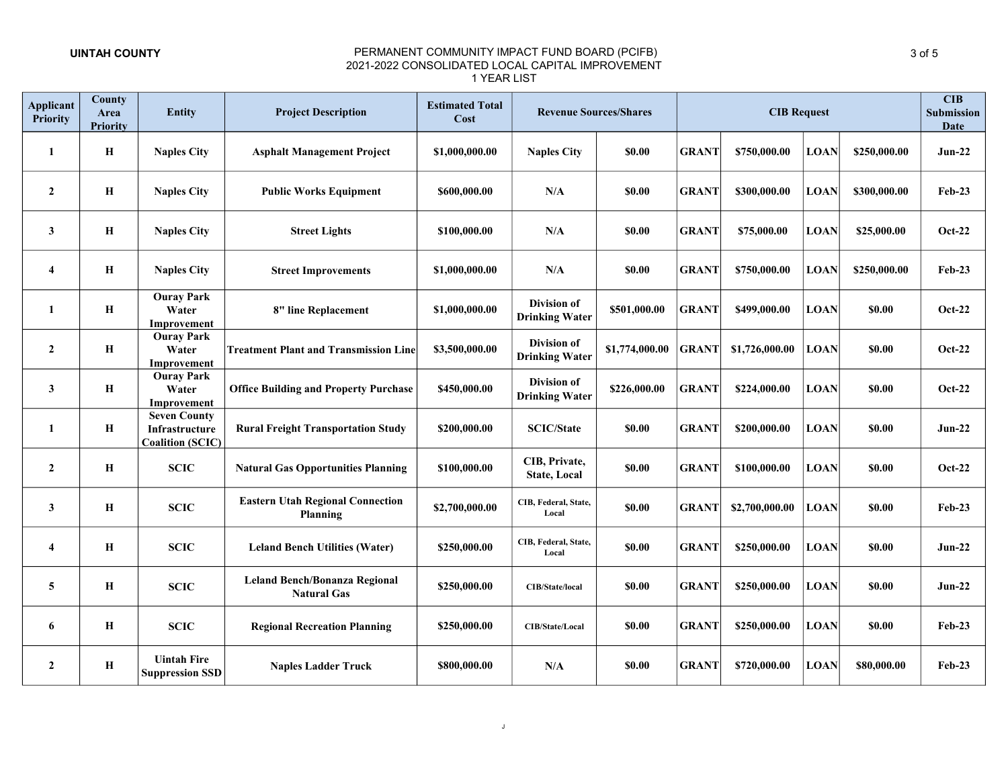| <b>Applicant</b><br><b>Priority</b> | County<br>Area<br><b>Priority</b> | <b>Entity</b>                                                    | <b>Project Description</b>                                 | <b>Estimated Total</b><br>Cost | <b>Revenue Sources/Shares</b>               |                | <b>CIB Request</b> |                |             |              | CIB<br><b>Submission</b><br><b>Date</b> |
|-------------------------------------|-----------------------------------|------------------------------------------------------------------|------------------------------------------------------------|--------------------------------|---------------------------------------------|----------------|--------------------|----------------|-------------|--------------|-----------------------------------------|
| 1                                   | Н                                 | <b>Naples City</b>                                               | <b>Asphalt Management Project</b>                          | \$1,000,000.00                 | <b>Naples City</b>                          | \$0.00         | <b>GRANT</b>       | \$750,000.00   | <b>LOAN</b> | \$250,000.00 | <b>Jun-22</b>                           |
| $\mathbf{2}$                        | $\mathbf H$                       | <b>Naples City</b>                                               | <b>Public Works Equipment</b>                              | \$600,000.00                   | N/A                                         | \$0.00         | <b>GRANT</b>       | \$300,000.00   | <b>LOAN</b> | \$300,000.00 | <b>Feb-23</b>                           |
| 3                                   | $\, {\bf H}$                      | <b>Naples City</b>                                               | <b>Street Lights</b>                                       | \$100,000.00                   | N/A                                         | \$0.00         | <b>GRANT</b>       | \$75,000.00    | <b>LOAN</b> | \$25,000.00  | $Oct-22$                                |
| $\overline{\mathbf{4}}$             | $\mathbf H$                       | <b>Naples City</b>                                               | <b>Street Improvements</b>                                 | \$1,000,000.00                 | N/A                                         | \$0.00         | <b>GRANT</b>       | \$750,000.00   | <b>LOAN</b> | \$250,000.00 | <b>Feb-23</b>                           |
| 1                                   | $\mathbf H$                       | <b>Ouray Park</b><br>Water<br>Improvement                        | 8" line Replacement                                        | \$1,000,000.00                 | <b>Division of</b><br><b>Drinking Water</b> | \$501,000.00   | <b>GRANT</b>       | \$499,000.00   | <b>LOAN</b> | \$0.00       | Oct-22                                  |
| $\overline{2}$                      | $\mathbf H$                       | <b>Ouray Park</b><br>Water<br>Improvement                        | <b>Treatment Plant and Transmission Line</b>               | \$3,500,000.00                 | Division of<br><b>Drinking Water</b>        | \$1,774,000.00 | <b>GRANT</b>       | \$1,726,000.00 | <b>LOAN</b> | \$0.00       | Oct-22                                  |
| 3                                   | $\mathbf H$                       | <b>Ouray Park</b><br>Water<br>Improvement                        | <b>Office Building and Property Purchase</b>               | \$450,000.00                   | <b>Division of</b><br><b>Drinking Water</b> | \$226,000.00   | <b>GRANT</b>       | \$224,000.00   | <b>LOAN</b> | \$0.00       | Oct-22                                  |
| 1                                   | $\mathbf H$                       | <b>Seven County</b><br>Infrastructure<br><b>Coalition (SCIC)</b> | <b>Rural Freight Transportation Study</b>                  | \$200,000.00                   | <b>SCIC/State</b>                           | \$0.00         | <b>GRANT</b>       | \$200,000.00   | <b>LOAN</b> | \$0.00       | <b>Jun-22</b>                           |
| $\overline{2}$                      | $\mathbf H$                       | <b>SCIC</b>                                                      | <b>Natural Gas Opportunities Planning</b>                  | \$100,000.00                   | CIB, Private,<br><b>State, Local</b>        | \$0.00         | <b>GRANT</b>       | \$100,000.00   | <b>LOAN</b> | \$0.00       | <b>Oct-22</b>                           |
| 3                                   | $\mathbf H$                       | <b>SCIC</b>                                                      | <b>Eastern Utah Regional Connection</b><br><b>Planning</b> | \$2,700,000.00                 | CIB, Federal, State,<br>Local               | \$0.00         | <b>GRANT</b>       | \$2,700,000.00 | <b>LOAN</b> | \$0.00       | <b>Feb-23</b>                           |
| $\overline{\mathbf{4}}$             | $\mathbf H$                       | <b>SCIC</b>                                                      | <b>Leland Bench Utilities (Water)</b>                      | \$250,000.00                   | CIB, Federal, State,<br>Local               | \$0.00         | <b>GRANT</b>       | \$250,000.00   | <b>LOAN</b> | \$0.00       | <b>Jun-22</b>                           |
| 5                                   | $\mathbf H$                       | <b>SCIC</b>                                                      | <b>Leland Bench/Bonanza Regional</b><br><b>Natural Gas</b> | \$250,000.00                   | <b>CIB/State/local</b>                      | <b>SO.00</b>   | <b>GRANT</b>       | \$250,000.00   | <b>LOAN</b> | \$0.00       | $Jun-22$                                |
| 6                                   | Н                                 | <b>SCIC</b>                                                      | <b>Regional Recreation Planning</b>                        | \$250,000.00                   | <b>CIB/State/Local</b>                      | <b>SO.00</b>   | <b>GRANT</b>       | \$250,000.00   | <b>LOAN</b> | \$0.00       | $Feb-23$                                |
| $\mathbf{2}$                        | H                                 | <b>Uintah Fire</b><br><b>Suppression SSD</b>                     | <b>Naples Ladder Truck</b>                                 | \$800,000.00                   | N/A                                         | <b>SO.00</b>   | <b>GRANT</b>       | \$720,000.00   | <b>LOAN</b> | \$80,000.00  | $Feb-23$                                |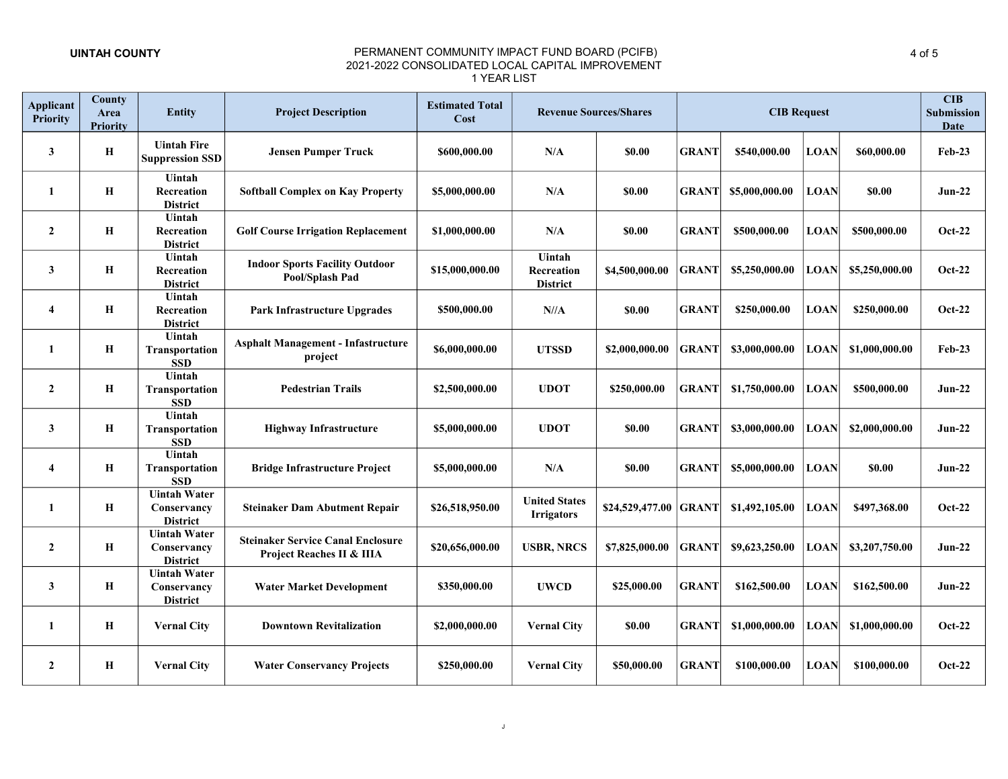| <b>Applicant</b><br><b>Priority</b> | <b>County</b><br>Area<br><b>Priority</b> | Entity                                                | <b>Project Description</b>                                            | <b>Estimated Total</b><br>Cost |                                           | <b>Revenue Sources/Shares</b> | <b>CIB Request</b> |                |             |                | CIB<br><b>Submission</b><br>Date |  |
|-------------------------------------|------------------------------------------|-------------------------------------------------------|-----------------------------------------------------------------------|--------------------------------|-------------------------------------------|-------------------------------|--------------------|----------------|-------------|----------------|----------------------------------|--|
| 3                                   | $\mathbf H$                              | <b>Uintah Fire</b><br><b>Suppression SSD</b>          | <b>Jensen Pumper Truck</b>                                            | \$600,000.00                   | N/A                                       | \$0.00                        | <b>GRANT</b>       | \$540,000.00   | <b>LOAN</b> | \$60,000.00    | $Feb-23$                         |  |
| 1                                   | H                                        | Uintah<br>Recreation<br><b>District</b>               | <b>Softball Complex on Kay Property</b>                               | \$5,000,000.00                 | N/A                                       | <b>\$0.00</b>                 | <b>GRANT</b>       | \$5,000,000.00 | <b>LOAN</b> | <b>SO.00</b>   | $Jun-22$                         |  |
| $\mathbf{2}$                        | $\mathbf H$                              | Uintah<br>Recreation<br><b>District</b>               | <b>Golf Course Irrigation Replacement</b>                             | \$1,000,000.00                 | N/A                                       | \$0.00                        | <b>GRANT</b>       | \$500,000.00   | <b>LOAN</b> | \$500,000.00   | <b>Oct-22</b>                    |  |
| 3                                   | $\mathbf H$                              | Uintah<br>Recreation<br><b>District</b>               | <b>Indoor Sports Facility Outdoor</b><br>Pool/Splash Pad              | \$15,000,000.00                | Uintah<br>Recreation<br><b>District</b>   | \$4,500,000.00                | <b>GRANT</b>       | \$5,250,000.00 | <b>LOAN</b> | \$5,250,000.00 | $Oct-22$                         |  |
| $\overline{\mathbf{4}}$             | $\mathbf H$                              | Uintah<br>Recreation<br><b>District</b>               | <b>Park Infrastructure Upgrades</b>                                   | \$500,000.00                   | $N/\Lambda$                               | \$0.00                        | <b>GRANT</b>       | \$250,000.00   | <b>LOAN</b> | \$250,000.00   | <b>Oct-22</b>                    |  |
| 1                                   | $\mathbf H$                              | Uintah<br>Transportation<br><b>SSD</b>                | <b>Asphalt Management - Infastructure</b><br>project                  | \$6,000,000.00                 | <b>UTSSD</b>                              | \$2,000,000.00                | <b>GRANT</b>       | \$3,000,000.00 | <b>LOAN</b> | \$1,000,000.00 | $Feb-23$                         |  |
| $\mathbf{2}$                        | $\mathbf H$                              | Uintah<br>Transportation<br><b>SSD</b>                | <b>Pedestrian Trails</b>                                              | \$2,500,000.00                 | <b>UDOT</b>                               | \$250,000.00                  | <b>GRANT</b>       | \$1,750,000.00 | <b>LOAN</b> | \$500,000.00   | $Jun-22$                         |  |
| 3                                   | $\mathbf H$                              | Uintah<br>Transportation<br><b>SSD</b>                | <b>Highway Infrastructure</b>                                         | \$5,000,000.00                 | <b>UDOT</b>                               | \$0.00                        | <b>GRANT</b>       | \$3,000,000.00 | <b>LOAN</b> | \$2,000,000.00 | $Jun-22$                         |  |
| $\overline{\mathbf{4}}$             | Н                                        | Uintah<br>Transportation<br><b>SSD</b>                | <b>Bridge Infrastructure Project</b>                                  | \$5,000,000.00                 | N/A                                       | \$0.00                        | <b>GRANT</b>       | \$5,000,000.00 | <b>LOAN</b> | \$0.00         | $Jun-22$                         |  |
| 1                                   | Н                                        | <b>Uintah Water</b><br>Conservancy<br><b>District</b> | <b>Steinaker Dam Abutment Repair</b>                                  | \$26,518,950.00                | <b>United States</b><br><b>Irrigators</b> | \$24,529,477.00 GRANT         |                    | \$1,492,105.00 | <b>LOAN</b> | \$497,368.00   | Oct-22                           |  |
| $\mathbf{2}$                        | Н                                        | <b>Uintah Water</b><br>Conservancy<br><b>District</b> | <b>Steinaker Service Canal Enclosure</b><br>Project Reaches II & IIIA | \$20,656,000.00                | <b>USBR, NRCS</b>                         | \$7,825,000.00                | <b>GRANT</b>       | \$9,623,250.00 | <b>LOAN</b> | \$3,207,750.00 | <b>Jun-22</b>                    |  |
| 3                                   | Н                                        | <b>Uintah Water</b><br>Conservancy<br><b>District</b> | <b>Water Market Development</b>                                       | \$350,000.00                   | <b>UWCD</b>                               | \$25,000.00                   | <b>GRANT</b>       | \$162,500.00   | <b>LOAN</b> | \$162,500.00   | <b>Jun-22</b>                    |  |
| 1                                   | Н                                        | <b>Vernal City</b>                                    | <b>Downtown Revitalization</b>                                        | \$2,000,000.00                 | <b>Vernal City</b>                        | <b>\$0.00</b>                 | <b>GRANT</b>       | \$1,000,000.00 | <b>LOAN</b> | \$1,000,000.00 | <b>Oct-22</b>                    |  |
| $\mathbf{2}$                        | Н                                        | <b>Vernal City</b>                                    | <b>Water Conservancy Projects</b>                                     | \$250,000.00                   | <b>Vernal City</b>                        | \$50,000.00                   | <b>GRANT</b>       | \$100,000.00   | <b>LOAN</b> | \$100,000.00   | Oct-22                           |  |